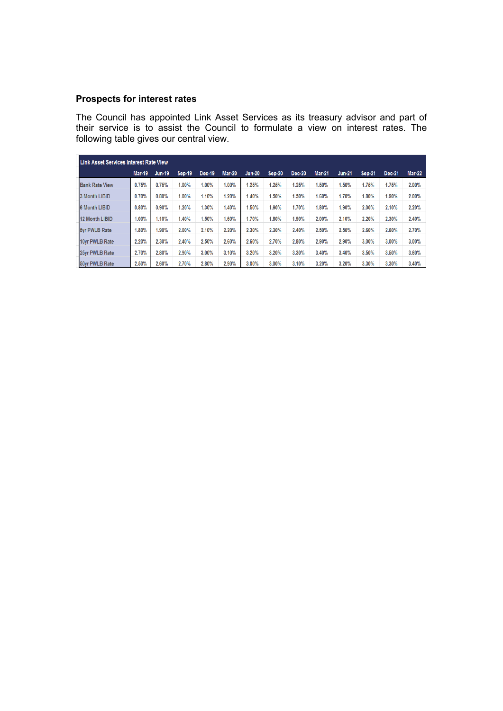# **Prospects for interest rates**

The Council has appointed Link Asset Services as its treasury advisor and part of their service is to assist the Council to formulate a view on interest rates. The following table gives our central view.

| Link Asset Services Interest Rate View |               |               |               |        |               |               |        |               |               |               |               |        |               |
|----------------------------------------|---------------|---------------|---------------|--------|---------------|---------------|--------|---------------|---------------|---------------|---------------|--------|---------------|
|                                        | <b>Mar-19</b> | <b>Jun-19</b> | <b>Sep-19</b> | Dec-19 | <b>Mar-20</b> | <b>Jun-20</b> | Sep-20 | <b>Dec-20</b> | <b>Mar-21</b> | <b>Jun-21</b> | <b>Sep-21</b> | Dec-21 | <b>Mar-22</b> |
| <b>Bank Rate View</b>                  | 0.75%         | 0.75%         | 1.00%         | 1.00%  | $1.00\%$      | 1.25%         | 1.25%  | 1.25%         | 1.50%         | 1.50%         | 1.75%         | 1.75%  | 2.00%         |
| 3 Month LIBID                          | 0.70%         | 0.80%         | 1.00%         | 1.10%  | 1.20%         | 1.40%         | 1.50%  | 1.50%         | 1.60%         | 1.70%         | 1.80%         | 1.90%  | 2.00%         |
| <b>6 Month LIBID</b>                   | 0.80%         | 0.90%         | 1.20%         | 1.30%  | 1.40%         | 1.50%         | 1.60%  | 1.70%         | 1.80%         | 1.90%         | 2.00%         | 2.10%  | 2.20%         |
| <b>12 Month LIBID</b>                  | $1.00\%$      | 1.10%         | 1.40%         | 1.50%  | .60%          | 1.70%         | 1.80%  | 1.90%         | 2.00%         | 2.10%         | 2.20%         | 2.30%  | 2.40%         |
| 5yr PWLB Rate                          | 1.80%         | 1.90%         | 2.00%         | 2.10%  | 2.20%         | 2.30%         | 2.30%  | 2.40%         | 2.50%         | 2.50%         | 2.60%         | 2.60%  | 2.70%         |
| 10yr PWLB Rate                         | 2.20%         | 2.30%         | 2.40%         | 2.50%  | 2.60%         | 2.60%         | 2.70%  | 2.80%         | 2.90%         | 2.90%         | 3.00%         | 3.00%  | 3.00%         |
| 25yr PWLB Rate                         | 2.70%         | 2.80%         | 2.90%         | 3.00%  | 3.10%         | 3.20%         | 3.20%  | 3.30%         | 3.40%         | 3.40%         | 3.50%         | 3.50%  | 3.60%         |
| 50yr PWLB Rate                         | 2.50%         | 2.60%         | 2.70%         | 2.80%  | 2.90%         | 3.00%         | 3.00%  | 3.10%         | 3.20%         | 3.20%         | 3.30%         | 3.30%  | 3.40%         |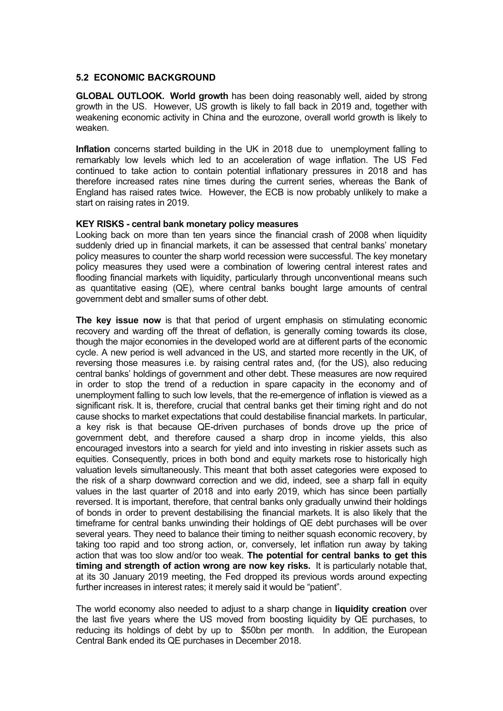### **5.2 ECONOMIC BACKGROUND**

**GLOBAL OUTLOOK. World growth** has been doing reasonably well, aided by strong growth in the US. However, US growth is likely to fall back in 2019 and, together with weakening economic activity in China and the eurozone, overall world growth is likely to weaken.

**Inflation** concerns started building in the UK in 2018 due to unemployment falling to remarkably low levels which led to an acceleration of wage inflation. The US Fed continued to take action to contain potential inflationary pressures in 2018 and has therefore increased rates nine times during the current series, whereas the Bank of England has raised rates twice. However, the ECB is now probably unlikely to make a start on raising rates in 2019.

## **KEY RISKS - central bank monetary policy measures**

Looking back on more than ten years since the financial crash of 2008 when liquidity suddenly dried up in financial markets, it can be assessed that central banks' monetary policy measures to counter the sharp world recession were successful. The key monetary policy measures they used were a combination of lowering central interest rates and flooding financial markets with liquidity, particularly through unconventional means such as quantitative easing (QE), where central banks bought large amounts of central government debt and smaller sums of other debt.

**The key issue now** is that that period of urgent emphasis on stimulating economic recovery and warding off the threat of deflation, is generally coming towards its close, though the major economies in the developed world are at different parts of the economic cycle. A new period is well advanced in the US, and started more recently in the UK, of reversing those measures i.e. by raising central rates and, (for the US), also reducing central banks' holdings of government and other debt. These measures are now required in order to stop the trend of a reduction in spare capacity in the economy and of unemployment falling to such low levels, that the re-emergence of inflation is viewed as a significant risk. It is, therefore, crucial that central banks get their timing right and do not cause shocks to market expectations that could destabilise financial markets. In particular, a key risk is that because QE-driven purchases of bonds drove up the price of government debt, and therefore caused a sharp drop in income yields, this also encouraged investors into a search for yield and into investing in riskier assets such as equities. Consequently, prices in both bond and equity markets rose to historically high valuation levels simultaneously. This meant that both asset categories were exposed to the risk of a sharp downward correction and we did, indeed, see a sharp fall in equity values in the last quarter of 2018 and into early 2019, which has since been partially reversed. It is important, therefore, that central banks only gradually unwind their holdings of bonds in order to prevent destabilising the financial markets. It is also likely that the timeframe for central banks unwinding their holdings of QE debt purchases will be over several years. They need to balance their timing to neither squash economic recovery, by taking too rapid and too strong action, or, conversely, let inflation run away by taking action that was too slow and/or too weak. **The potential for central banks to get this timing and strength of action wrong are now key risks.** It is particularly notable that, at its 30 January 2019 meeting, the Fed dropped its previous words around expecting further increases in interest rates; it merely said it would be "patient".

The world economy also needed to adjust to a sharp change in **liquidity creation** over the last five years where the US moved from boosting liquidity by QE purchases, to reducing its holdings of debt by up to \$50bn per month. In addition, the European Central Bank ended its QE purchases in December 2018.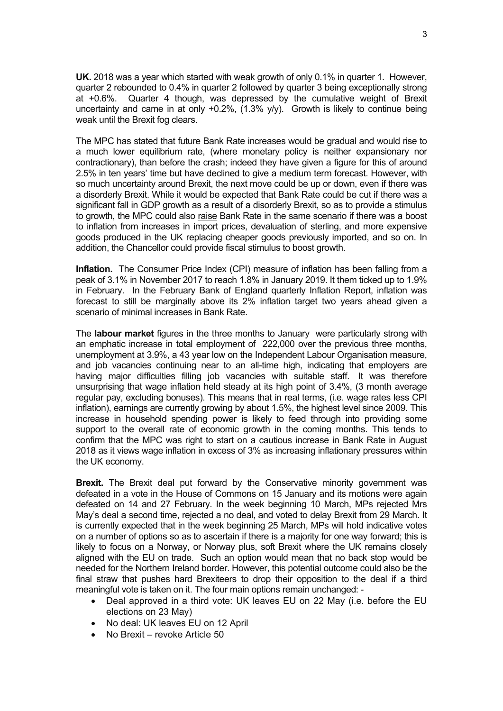**UK.** 2018 was a year which started with weak growth of only 0.1% in quarter 1. However, quarter 2 rebounded to 0.4% in quarter 2 followed by quarter 3 being exceptionally strong at +0.6%. Quarter 4 though, was depressed by the cumulative weight of Brexit uncertainty and came in at only +0.2%, (1.3% y/y). Growth is likely to continue being weak until the Brexit fog clears.

The MPC has stated that future Bank Rate increases would be gradual and would rise to a much lower equilibrium rate, (where monetary policy is neither expansionary nor contractionary), than before the crash; indeed they have given a figure for this of around 2.5% in ten years' time but have declined to give a medium term forecast. However, with so much uncertainty around Brexit, the next move could be up or down, even if there was a disorderly Brexit. While it would be expected that Bank Rate could be cut if there was a significant fall in GDP growth as a result of a disorderly Brexit, so as to provide a stimulus to growth, the MPC could also raise Bank Rate in the same scenario if there was a boost to inflation from increases in import prices, devaluation of sterling, and more expensive goods produced in the UK replacing cheaper goods previously imported, and so on. In addition, the Chancellor could provide fiscal stimulus to boost growth.

**Inflation.** The Consumer Price Index (CPI) measure of inflation has been falling from a peak of 3.1% in November 2017 to reach 1.8% in January 2019. It them ticked up to 1.9% in February. In the February Bank of England quarterly Inflation Report, inflation was forecast to still be marginally above its 2% inflation target two years ahead given a scenario of minimal increases in Bank Rate.

The **labour market** figures in the three months to January were particularly strong with an emphatic increase in total employment of 222,000 over the previous three months, unemployment at 3.9%, a 43 year low on the Independent Labour Organisation measure, and job vacancies continuing near to an all-time high, indicating that employers are having major difficulties filling job vacancies with suitable staff. It was therefore unsurprising that wage inflation held steady at its high point of 3.4%, (3 month average regular pay, excluding bonuses). This means that in real terms, (i.e. wage rates less CPI inflation), earnings are currently growing by about 1.5%, the highest level since 2009. This increase in household spending power is likely to feed through into providing some support to the overall rate of economic growth in the coming months. This tends to confirm that the MPC was right to start on a cautious increase in Bank Rate in August 2018 as it views wage inflation in excess of 3% as increasing inflationary pressures within the UK economy.

**Brexit.** The Brexit deal put forward by the Conservative minority government was defeated in a vote in the House of Commons on 15 January and its motions were again defeated on 14 and 27 February. In the week beginning 10 March, MPs rejected Mrs May's deal a second time, rejected a no deal, and voted to delay Brexit from 29 March. It is currently expected that in the week beginning 25 March, MPs will hold indicative votes on a number of options so as to ascertain if there is a majority for one way forward; this is likely to focus on a Norway, or Norway plus, soft Brexit where the UK remains closely aligned with the EU on trade. Such an option would mean that no back stop would be needed for the Northern Ireland border. However, this potential outcome could also be the final straw that pushes hard Brexiteers to drop their opposition to the deal if a third meaningful vote is taken on it. The four main options remain unchanged: -

- Deal approved in a third vote: UK leaves EU on 22 May (i.e. before the EU elections on 23 May)
- No deal: UK leaves EU on 12 April
- No Brexit revoke Article 50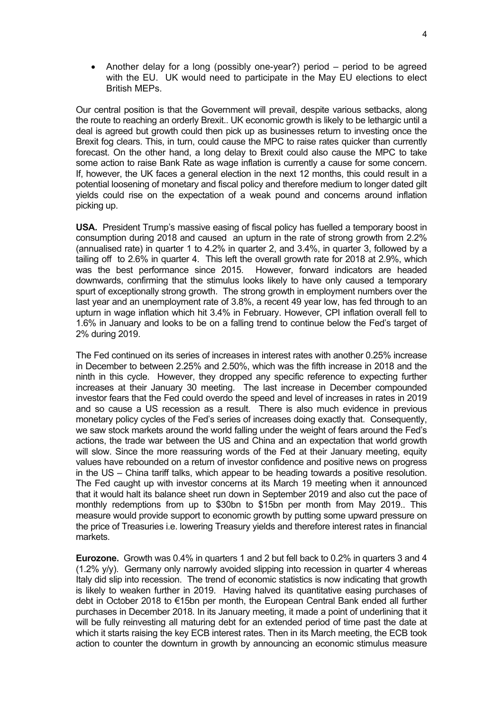Another delay for a long (possibly one-year?) period – period to be agreed with the EU. UK would need to participate in the May EU elections to elect British MEPs.

Our central position is that the Government will prevail, despite various setbacks, along the route to reaching an orderly Brexit.. UK economic growth is likely to be lethargic until a deal is agreed but growth could then pick up as businesses return to investing once the Brexit fog clears. This, in turn, could cause the MPC to raise rates quicker than currently forecast. On the other hand, a long delay to Brexit could also cause the MPC to take some action to raise Bank Rate as wage inflation is currently a cause for some concern. If, however, the UK faces a general election in the next 12 months, this could result in a potential loosening of monetary and fiscal policy and therefore medium to longer dated gilt yields could rise on the expectation of a weak pound and concerns around inflation picking up.

**USA.** President Trump's massive easing of fiscal policy has fuelled a temporary boost in consumption during 2018 and caused an upturn in the rate of strong growth from 2.2% (annualised rate) in quarter 1 to 4.2% in quarter 2, and 3.4%, in quarter 3, followed by a tailing off to 2.6% in quarter 4. This left the overall growth rate for 2018 at 2.9%, which was the best performance since 2015. However, forward indicators are headed downwards, confirming that the stimulus looks likely to have only caused a temporary spurt of exceptionally strong growth. The strong growth in employment numbers over the last year and an unemployment rate of 3.8%, a recent 49 year low, has fed through to an upturn in wage inflation which hit 3.4% in February. However, CPI inflation overall fell to 1.6% in January and looks to be on a falling trend to continue below the Fed's target of 2% during 2019.

The Fed continued on its series of increases in interest rates with another 0.25% increase in December to between 2.25% and 2.50%, which was the fifth increase in 2018 and the ninth in this cycle. However, they dropped any specific reference to expecting further increases at their January 30 meeting. The last increase in December compounded investor fears that the Fed could overdo the speed and level of increases in rates in 2019 and so cause a US recession as a result. There is also much evidence in previous monetary policy cycles of the Fed's series of increases doing exactly that. Consequently, we saw stock markets around the world falling under the weight of fears around the Fed's actions, the trade war between the US and China and an expectation that world growth will slow. Since the more reassuring words of the Fed at their January meeting, equity values have rebounded on a return of investor confidence and positive news on progress in the US – China tariff talks, which appear to be heading towards a positive resolution. The Fed caught up with investor concerns at its March 19 meeting when it announced that it would halt its balance sheet run down in September 2019 and also cut the pace of monthly redemptions from up to \$30bn to \$15bn per month from May 2019.. This measure would provide support to economic growth by putting some upward pressure on the price of Treasuries i.e. lowering Treasury yields and therefore interest rates in financial markets.

**Eurozone.** Growth was 0.4% in quarters 1 and 2 but fell back to 0.2% in quarters 3 and 4 (1.2% y/y). Germany only narrowly avoided slipping into recession in quarter 4 whereas Italy did slip into recession. The trend of economic statistics is now indicating that growth is likely to weaken further in 2019. Having halved its quantitative easing purchases of debt in October 2018 to €15bn per month, the European Central Bank ended all further purchases in December 2018. In its January meeting, it made a point of underlining that it will be fully reinvesting all maturing debt for an extended period of time past the date at which it starts raising the key ECB interest rates. Then in its March meeting, the ECB took action to counter the downturn in growth by announcing an economic stimulus measure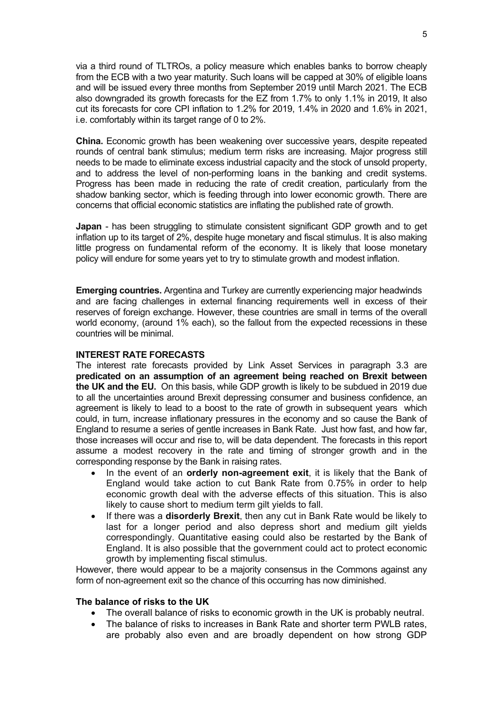via a third round of TLTROs, a policy measure which enables banks to borrow cheaply from the ECB with a two year maturity. Such loans will be capped at 30% of eligible loans and will be issued every three months from September 2019 until March 2021. The ECB also downgraded its growth forecasts for the EZ from 1.7% to only 1.1% in 2019, It also cut its forecasts for core CPI inflation to 1.2% for 2019, 1.4% in 2020 and 1.6% in 2021, i.e. comfortably within its target range of 0 to 2%.

**China.** Economic growth has been weakening over successive years, despite repeated rounds of central bank stimulus; medium term risks are increasing. Major progress still needs to be made to eliminate excess industrial capacity and the stock of unsold property, and to address the level of non-performing loans in the banking and credit systems. Progress has been made in reducing the rate of credit creation, particularly from the shadow banking sector, which is feeding through into lower economic growth. There are concerns that official economic statistics are inflating the published rate of growth.

**Japan** - has been struggling to stimulate consistent significant GDP growth and to get inflation up to its target of 2%, despite huge monetary and fiscal stimulus. It is also making little progress on fundamental reform of the economy. It is likely that loose monetary policy will endure for some years yet to try to stimulate growth and modest inflation.

**Emerging countries.** Argentina and Turkey are currently experiencing major headwinds and are facing challenges in external financing requirements well in excess of their reserves of foreign exchange. However, these countries are small in terms of the overall world economy, (around 1% each), so the fallout from the expected recessions in these countries will be minimal.

#### **INTEREST RATE FORECASTS**

The interest rate forecasts provided by Link Asset Services in paragraph 3.3 are **predicated on an assumption of an agreement being reached on Brexit between the UK and the EU.** On this basis, while GDP growth is likely to be subdued in 2019 due to all the uncertainties around Brexit depressing consumer and business confidence, an agreement is likely to lead to a boost to the rate of growth in subsequent years which could, in turn, increase inflationary pressures in the economy and so cause the Bank of England to resume a series of gentle increases in Bank Rate. Just how fast, and how far, those increases will occur and rise to, will be data dependent. The forecasts in this report assume a modest recovery in the rate and timing of stronger growth and in the corresponding response by the Bank in raising rates.

- In the event of an **orderly non-agreement exit**, it is likely that the Bank of England would take action to cut Bank Rate from 0.75% in order to help economic growth deal with the adverse effects of this situation. This is also likely to cause short to medium term gilt yields to fall.
- If there was a **disorderly Brexit**, then any cut in Bank Rate would be likely to last for a longer period and also depress short and medium gilt yields correspondingly. Quantitative easing could also be restarted by the Bank of England. It is also possible that the government could act to protect economic growth by implementing fiscal stimulus.

However, there would appear to be a majority consensus in the Commons against any form of non-agreement exit so the chance of this occurring has now diminished.

#### **The balance of risks to the UK**

- The overall balance of risks to economic growth in the UK is probably neutral.
- The balance of risks to increases in Bank Rate and shorter term PWLB rates, are probably also even and are broadly dependent on how strong GDP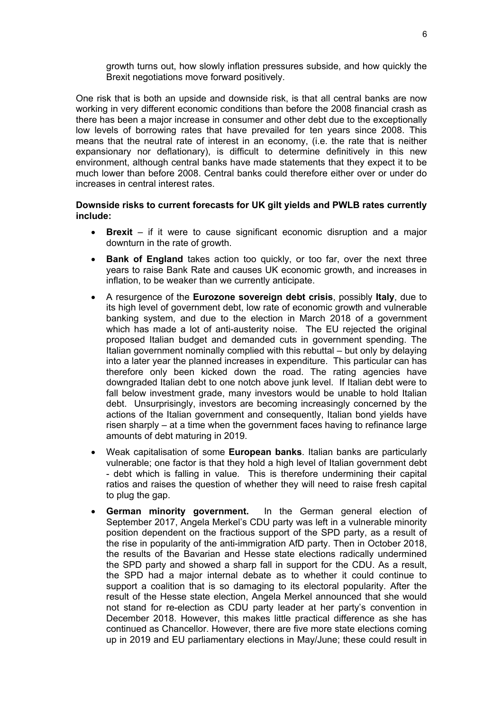growth turns out, how slowly inflation pressures subside, and how quickly the Brexit negotiations move forward positively.

One risk that is both an upside and downside risk, is that all central banks are now working in very different economic conditions than before the 2008 financial crash as there has been a major increase in consumer and other debt due to the exceptionally low levels of borrowing rates that have prevailed for ten years since 2008. This means that the neutral rate of interest in an economy, (i.e. the rate that is neither expansionary nor deflationary), is difficult to determine definitively in this new environment, although central banks have made statements that they expect it to be much lower than before 2008. Central banks could therefore either over or under do increases in central interest rates.

### **Downside risks to current forecasts for UK gilt yields and PWLB rates currently include:**

- **Brexit** if it were to cause significant economic disruption and a major downturn in the rate of growth.
- **Bank of England** takes action too quickly, or too far, over the next three years to raise Bank Rate and causes UK economic growth, and increases in inflation, to be weaker than we currently anticipate.
- A resurgence of the **Eurozone sovereign debt crisis**, possibly **Italy**, due to its high level of government debt, low rate of economic growth and vulnerable banking system, and due to the election in March 2018 of a government which has made a lot of anti-austerity noise. The EU rejected the original proposed Italian budget and demanded cuts in government spending. The Italian government nominally complied with this rebuttal – but only by delaying into a later year the planned increases in expenditure. This particular can has therefore only been kicked down the road. The rating agencies have downgraded Italian debt to one notch above junk level. If Italian debt were to fall below investment grade, many investors would be unable to hold Italian debt. Unsurprisingly, investors are becoming increasingly concerned by the actions of the Italian government and consequently, Italian bond yields have risen sharply – at a time when the government faces having to refinance large amounts of debt maturing in 2019.
- Weak capitalisation of some **European banks**. Italian banks are particularly vulnerable; one factor is that they hold a high level of Italian government debt - debt which is falling in value. This is therefore undermining their capital ratios and raises the question of whether they will need to raise fresh capital to plug the gap.
- **German minority government.** In the German general election of September 2017, Angela Merkel's CDU party was left in a vulnerable minority position dependent on the fractious support of the SPD party, as a result of the rise in popularity of the anti-immigration AfD party. Then in October 2018, the results of the Bavarian and Hesse state elections radically undermined the SPD party and showed a sharp fall in support for the CDU. As a result, the SPD had a major internal debate as to whether it could continue to support a coalition that is so damaging to its electoral popularity. After the result of the Hesse state election, Angela Merkel announced that she would not stand for re-election as CDU party leader at her party's convention in December 2018. However, this makes little practical difference as she has continued as Chancellor. However, there are five more state elections coming up in 2019 and EU parliamentary elections in May/June; these could result in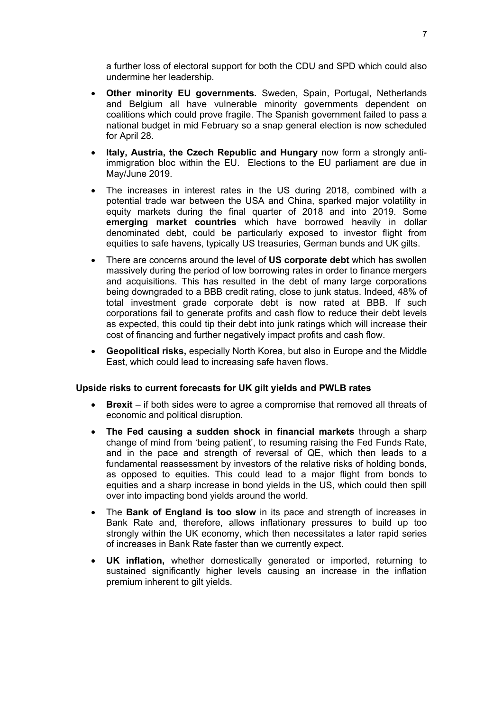a further loss of electoral support for both the CDU and SPD which could also undermine her leadership.

- **Other minority EU governments.** Sweden, Spain, Portugal, Netherlands and Belgium all have vulnerable minority governments dependent on coalitions which could prove fragile. The Spanish government failed to pass a national budget in mid February so a snap general election is now scheduled for April 28.
- **Italy, Austria, the Czech Republic and Hungary** now form a strongly antiimmigration bloc within the EU. Elections to the EU parliament are due in May/June 2019.
- The increases in interest rates in the US during 2018, combined with a potential trade war between the USA and China, sparked major volatility in equity markets during the final quarter of 2018 and into 2019. Some **emerging market countries** which have borrowed heavily in dollar denominated debt, could be particularly exposed to investor flight from equities to safe havens, typically US treasuries, German bunds and UK gilts.
- There are concerns around the level of **US corporate debt** which has swollen massively during the period of low borrowing rates in order to finance mergers and acquisitions. This has resulted in the debt of many large corporations being downgraded to a BBB credit rating, close to junk status. Indeed, 48% of total investment grade corporate debt is now rated at BBB. If such corporations fail to generate profits and cash flow to reduce their debt levels as expected, this could tip their debt into junk ratings which will increase their cost of financing and further negatively impact profits and cash flow.
- **Geopolitical risks,** especially North Korea, but also in Europe and the Middle East, which could lead to increasing safe haven flows.

# **Upside risks to current forecasts for UK gilt yields and PWLB rates**

- **Brexit** if both sides were to agree a compromise that removed all threats of economic and political disruption.
- **The Fed causing a sudden shock in financial markets** through a sharp change of mind from 'being patient', to resuming raising the Fed Funds Rate, and in the pace and strength of reversal of QE, which then leads to a fundamental reassessment by investors of the relative risks of holding bonds, as opposed to equities. This could lead to a major flight from bonds to equities and a sharp increase in bond yields in the US, which could then spill over into impacting bond yields around the world.
- The **Bank of England is too slow** in its pace and strength of increases in Bank Rate and, therefore, allows inflationary pressures to build up too strongly within the UK economy, which then necessitates a later rapid series of increases in Bank Rate faster than we currently expect.
- **UK inflation,** whether domestically generated or imported, returning to sustained significantly higher levels causing an increase in the inflation premium inherent to gilt yields.